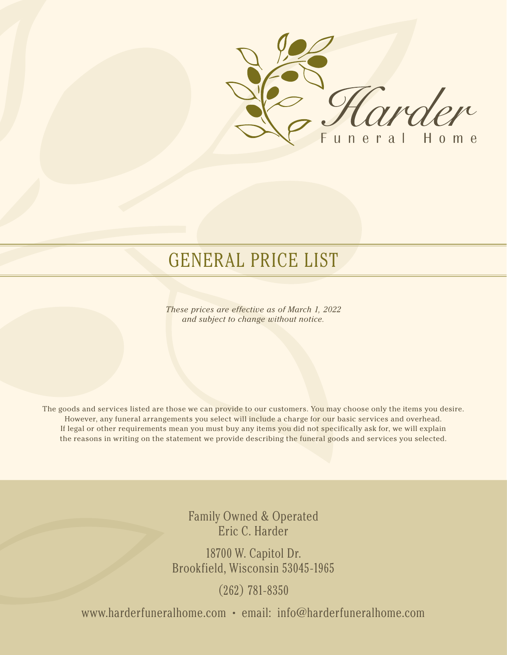

# GENERAL PRICE LIST

*These prices are effective as of March 1, 2022 and subject to change without notice.*

The goods and services listed are those we can provide to our customers. You may choose only the items you desire. However, any funeral arrangements you select will include a charge for our basic services and overhead. If legal or other requirements mean you must buy any items you did not specifically ask for, we will explain the reasons in writing on the statement we provide describing the funeral goods and services you selected.

> Family Owned & Operated Eric C. Harder

18700 W. Capitol Dr. Brookfield, Wisconsin 53045-1965

(262) 781-8350

www.harderfuneralhome.com • email: info@harderfuneralhome.com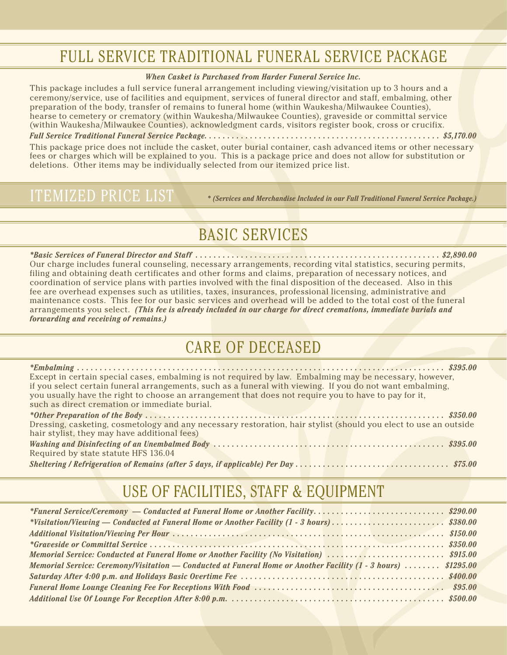## FULL SERVICE TRADITIONAL FUNERAL SERVICE PACKAGE

#### *When Casket is Purchased from Harder Funeral Service Inc.*

This package includes a full service funeral arrangement including viewing/visitation up to 3 hours and a ceremony/service, use of facilities and equipment, services of funeral director and staff, embalming, other preparation of the body, transfer of remains to funeral home (within Waukesha/Milwaukee Counties), hearse to cemetery or crematory (within Waukesha/Milwaukee Counties), graveside or committal service (within Waukesha/Milwaukee Counties), acknowledgment cards, visitors register book, cross or crucifix.

*Full Service Traditional Funeral Service Package . . \$5,170.00* 

This package price does not include the casket, outer burial container, cash advanced items or other necessary fees or charges which will be explained to you. This is a package price and does not allow for substitution or deletions. Other items may be individually selected from our itemized price list.

### ITEMIZED PRICE LIST

*\* (Services and Merchandise Included in our Full Traditional Funeral Service Package.)*

## BASIC SERVICES

*\*Basic Services of Funeral Director and Staff . . \$2,890.00* Our charge includes funeral counseling, necessary arrangements, recording vital statistics, securing permits, filing and obtaining death certificates and other forms and claims, preparation of necessary notices, and coordination of service plans with parties involved with the final disposition of the deceased. Also in this fee are overhead expenses such as utilities, taxes, insurances, professional licensing, administrative and maintenance costs. This fee for our basic services and overhead will be added to the total cost of the funeral arrangements you select. *(This fee is already included in our charge for direct cremations, immediate burials and forwarding and receiving of remains.)*

### CARE OF DECEASED

*\*Embalming . . \$395.00* Except in certain special cases, embalming is not required by law. Embalming may be necessary, however, if you select certain funeral arrangements, such as a funeral with viewing. If you do not want embalming, you usually have the right to choose an arrangement that does not require you to have to pay for it, such as direct cremation or immediate burial.

| Dressing, casketing, cosmetology and any necessary restoration, hair stylist (should you elect to use an outside |  |
|------------------------------------------------------------------------------------------------------------------|--|
| hair stylist, they may have additional fees)                                                                     |  |
|                                                                                                                  |  |
| Required by state statute HFS 136.04                                                                             |  |
|                                                                                                                  |  |

## USE OF FACILITIES, STAFF & EQUIPMENT

| *Funeral Service/Ceremony — Conducted at Funeral Home or Another Facility\$290.00                              |  |
|----------------------------------------------------------------------------------------------------------------|--|
| *Visitation/Viewing — Conducted at Funeral Home or Another Facility $(1 - 3 \text{ hours})$ \$380.00           |  |
|                                                                                                                |  |
|                                                                                                                |  |
| Memorial Service: Conducted at Funeral Home or Another Facility (No Visitation) \$915.00                       |  |
| Memorial Service: Ceremony/Visitation — Conducted at Funeral Home or Another Facility (1 - 3 hours)  \$1295.00 |  |
|                                                                                                                |  |
|                                                                                                                |  |
|                                                                                                                |  |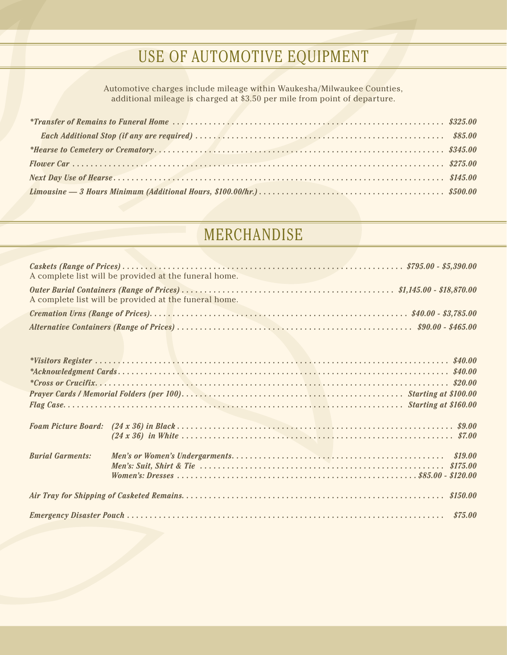## USE OF AUTOMOTIVE EQUIPMENT

Automotive charges include mileage within Waukesha/Milwaukee Counties, additional mileage is charged at \$3.50 per mile from point of departure.

## MERCHANDISE

|                         | A complete list will be provided at the funeral home. |  |
|-------------------------|-------------------------------------------------------|--|
|                         | A complete list will be provided at the funeral home. |  |
|                         |                                                       |  |
|                         |                                                       |  |
|                         |                                                       |  |
|                         |                                                       |  |
|                         |                                                       |  |
|                         |                                                       |  |
|                         |                                                       |  |
|                         |                                                       |  |
|                         |                                                       |  |
|                         |                                                       |  |
|                         |                                                       |  |
|                         |                                                       |  |
| <b>Burial Garments:</b> |                                                       |  |
|                         |                                                       |  |
|                         |                                                       |  |
|                         |                                                       |  |
|                         |                                                       |  |
|                         |                                                       |  |